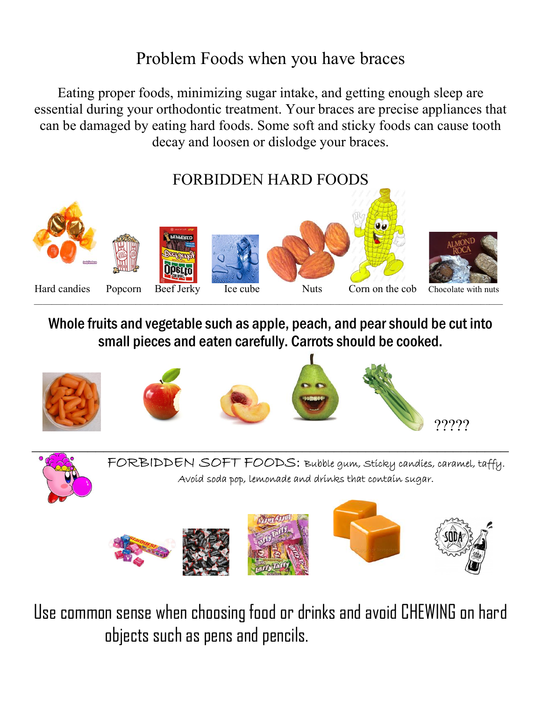## Problem Foods when you have braces

Eating proper foods, minimizing sugar intake, and getting enough sleep are essential during your orthodontic treatment. Your braces are precise appliances that can be damaged by eating hard foods. Some soft and sticky foods can cause tooth decay and loosen or dislodge your braces.

## FORBIDDEN HARD FOODS



Whole fruits and vegetable such as apple, peach, and pear should be cut into small pieces and eaten carefully. Carrots should be cooked.





FORBIDDEN SOFT FOODS: Bubble gum, Sticky candies, caramel, taffy. Avoid soda pop, lemonade and drinks that contain sugar.



Use common sense when choosing food or drinks and avoid CHEWING on hard objects such as pens and pencils.